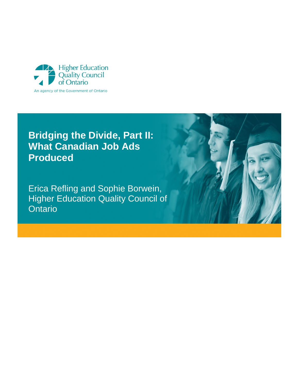

# **Bridging the Divide, Part II: What Canadian Job Ads Produced**

Erica Refling and Sophie Borwein, Higher Education Quality Council of **Ontario** 

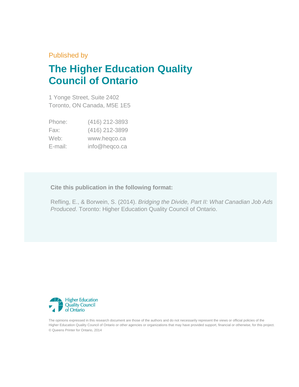Published by

# **The Higher Education Quality Council of Ontario**

1 Yonge Street, Suite 2402 Toronto, ON Canada, M5E 1E5

| Phone:  | (416) 212-3893 |
|---------|----------------|
| Fax:    | (416) 212-3899 |
| Web:    | www.heqco.ca   |
| E-mail: | info@heqco.ca  |

#### **Cite this publication in the following format:**

Refling, E., & Borwein, S. (2014). *Bridging the Divide, Part II: What Canadian Job Ads Produced*. Toronto: Higher Education Quality Council of Ontario.



The opinions expressed in this research document are those of the authors and do not necessarily represent the views or official policies of the Higher Education Quality Council of Ontario or other agencies or organizations that may have provided support, financial or otherwise, for this project. © Queens Printer for Ontario, 2014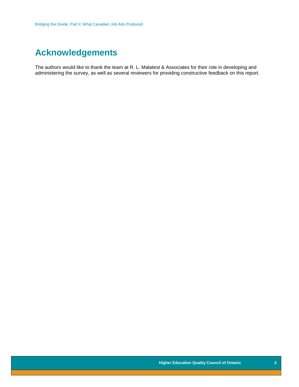## **Acknowledgements**

The authors would like to thank the team at R. L. Malatest & Associates for their role in developing and administering the survey, as well as several reviewers for providing constructive feedback on this report.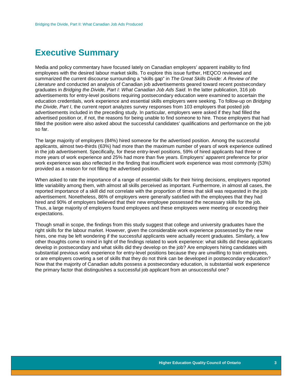### <span id="page-3-0"></span>**Executive Summary**

Media and policy commentary have focused lately on Canadian employers' apparent inability to find employees with the desired labour market skills. To explore this issue further, HEQCO reviewed and summarized the current discourse surrounding a "skills gap" in *The Great Skills Divide: A Review of the Literature* and conducted an analysis of Canadian job advertisements geared toward recent postsecondary graduates in *Bridging the Divide, Part I: What Canadian Job Ads Said*. In the latter publication, 316 job advertisements for entry-level positions requiring postsecondary education were examined to ascertain the education credentials, work experience and essential skills employers were seeking. To follow-up on *Bridging the Divide, Part I*, the current report analyzes survey responses from 103 employers that posted job advertisements included in the preceding study. In particular, employers were asked if they had filled the advertised position or, if not, the reasons for being unable to find someone to hire. Those employers that had filled the position were also asked about the successful candidates' qualifications and performance on the job so far.

The large majority of employers (84%) hired someone for the advertised position. Among the successful applicants, almost two-thirds (63%) had more than the maximum number of years of work experience outlined in the job advertisement. Specifically, for these entry-level positions, 59% of hired applicants had three or more years of work experience and 25% had more than five years. Employers' apparent preference for prior work experience was also reflected in the finding that insufficient work experience was most commonly (53%) provided as a reason for not filling the advertised position.

When asked to rate the importance of a range of essential skills for their hiring decisions, employers reported little variability among them, with almost all skills perceived as important. Furthermore, in almost all cases, the reported importance of a skill did not correlate with the proportion of times that skill was requested in the job advertisement. Nonetheless, 86% of employers were generally satisfied with the employees that they had hired and 90% of employers believed that their new employee possessed the necessary skills for the job. Thus, a large majority of employers found employees and these employees were meeting or exceeding their expectations.

Though small in scope, the findings from this study suggest that college and university graduates have the right skills for the labour market. However, given the considerable work experience possessed by the new hires, one may be left wondering if the successful applicants were actually recent graduates. Similarly, a few other thoughts come to mind in light of the findings related to work experience: what skills did these applicants develop in postsecondary and what skills did they develop on the job? Are employers hiring candidates with substantial previous work experience for entry-level positions because they are unwilling to train employees, or are employers coveting a set of skills that they do not think can be developed in postsecondary education? Now that the majority of Canadian adults possess a postsecondary education, is substantial work experience the primary factor that distinguishes a successful job applicant from an unsuccessful one?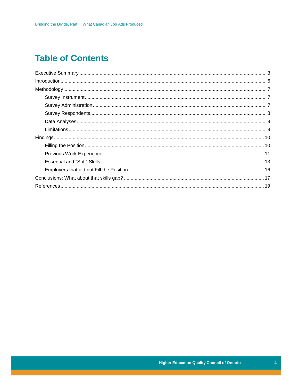## **Table of Contents**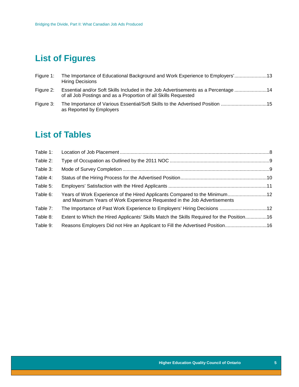# **List of Figures**

| Figure 1: | The Importance of Educational Background and Work Experience to Employers'13<br><b>Hiring Decisions</b>                                                |
|-----------|--------------------------------------------------------------------------------------------------------------------------------------------------------|
| Figure 2: | Essential and/or Soft Skills Included in the Job Advertisements as a Percentage  14<br>of all Job Postings and as a Proportion of all Skills Requested |
| Figure 3: | as Reported by Employers                                                                                                                               |

### **List of Tables**

| Table 1: |                                                                                                                                                        |  |
|----------|--------------------------------------------------------------------------------------------------------------------------------------------------------|--|
| Table 2: |                                                                                                                                                        |  |
| Table 3: |                                                                                                                                                        |  |
| Table 4: |                                                                                                                                                        |  |
| Table 5: |                                                                                                                                                        |  |
| Table 6: | Years of Work Experience of the Hired Applicants Compared to the Minimum12<br>and Maximum Years of Work Experience Requested in the Job Advertisements |  |
| Table 7: | The Importance of Past Work Experience to Employers' Hiring Decisions 12                                                                               |  |
| Table 8: | Extent to Which the Hired Applicants' Skills Match the Skills Required for the Position16                                                              |  |
| Table 9: | Reasons Employers Did not Hire an Applicant to Fill the Advertised Position16                                                                          |  |
|          |                                                                                                                                                        |  |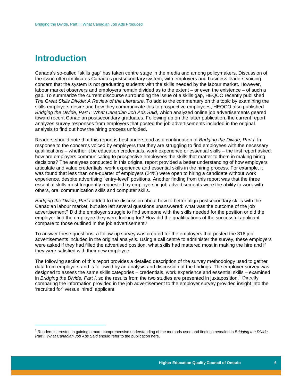### <span id="page-6-0"></span>**Introduction**

 $\overline{a}$ 

Canada's so-called "skills gap" has taken centre stage in the media and among policymakers. Discussion of the issue often implicates Canada's postsecondary system, with employers and business leaders voicing concern that the system is not graduating students with the skills needed by the labour market. However, labour market observers and employers remain divided as to the extent – or even the existence – of such a gap. To summarize the current discourse surrounding the issue of a skills gap, HEQCO recently published *The Great Skills Divide: A Review of the Literature*. To add to the commentary on this topic by examining the skills employers desire and how they communicate this to prospective employees, HEQCO also published *Bridging the Divide, Part I*: *What Canadian Job Ads Said*, which analyzed online job advertisements geared toward recent Canadian postsecondary graduates. Following up on the latter publication, the current report analyzes survey responses from employers that posted the job advertisements included in the original analysis to find out how the hiring process unfolded.

Readers should note that this report is best understood as a continuation of *Bridging the Divide, Part I*. In response to the concerns voiced by employers that they are struggling to find employees with the necessary qualifications – whether it be education credentials, work experience or essential skills – the first report asked: how are employers communicating to prospective employees the skills that matter to them in making hiring decisions? The analyses conducted in this original report provided a better understanding of how employers articulate and value credentials, work experience and essential skills in the hiring process. For example, it was found that less than one-quarter of employers (24%) were open to hiring a candidate without work experience, despite advertising "entry-level" positions. Another finding from this report was that the three essential skills most frequently requested by employers in job advertisements were the ability to work with others, oral communication skills and computer skills.

*Bridging the Divide, Part I* added to the discussion about how to better align postsecondary skills with the Canadian labour market, but also left several questions unanswered: what was the outcome of the job advertisement? Did the employer struggle to find someone with the skills needed for the position or did the employer find the employee they were looking for? How did the qualifications of the successful applicant compare to those outlined in the job advertisement?

To answer these questions, a follow-up survey was created for the employers that posted the 316 job advertisements included in the original analysis. Using a call centre to administer the survey, these employers were asked if they had filled the advertised position, what skills had mattered most in making the hire and if they were satisfied with their new employee.

The following section of this report provides a detailed description of the survey methodology used to gather data from employers and is followed by an analysis and discussion of the findings. The employer survey was designed to assess the same skills categories – credentials, work experience and essential skills – examined in *Bridging the Divide, Part I*, so the results from the two studies are presented in juxtaposition.[1](#page-6-1) Directly comparing the information provided in the job advertisement to the employer survey provided insight into the 'recruited for' versus 'hired' applicant.

<span id="page-6-1"></span><sup>1</sup> Readers interested in gaining a more comprehensive understanding of the methods used and findings revealed in *Bridging the Divide, Part I*: *What Canadian Job Ads Said* should refer to the publication here.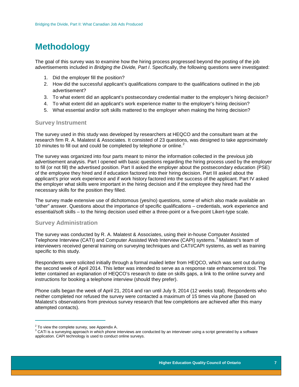## <span id="page-7-0"></span>**Methodology**

The goal of this survey was to examine how the hiring process progressed beyond the posting of the job advertisements included in *Bridging the Divide, Part I*. Specifically, the following questions were investigated:

- 1. Did the employer fill the position?
- 2. How did the successful applicant's qualifications compare to the qualifications outlined in the job advertisement?
- 3. To what extent did an applicant's postsecondary credential matter to the employer's hiring decision?
- 4. To what extent did an applicant's work experience matter to the employer's hiring decision?
- 5. What essential and/or soft skills mattered to the employer when making the hiring decision?

#### <span id="page-7-1"></span>**Survey Instrument**

The survey used in this study was developed by researchers at HEQCO and the consultant team at the research firm R. A. Malatest & Associates. It consisted of 23 questions, was designed to take approximately 10 minutes to fill out and could be completed by telephone or online. $<sup>2</sup>$  $<sup>2</sup>$  $<sup>2</sup>$ </sup>

The survey was organized into four parts meant to mirror the information collected in the previous job advertisement analysis. Part I opened with basic questions regarding the hiring process used by the employer to fill (or not fill) the advertised position. Part II asked the employer about the postsecondary education (PSE) of the employee they hired and if education factored into their hiring decision. Part III asked about the applicant's prior work experience and if work history factored into the success of the applicant. Part IV asked the employer what skills were important in the hiring decision and if the employee they hired had the necessary skills for the position they filled.

The survey made extensive use of dichotomous (yes/no) questions, some of which also made available an "other" answer. Questions about the importance of specific qualifications – credentials, work experience and essential/soft skills – to the hiring decision used either a three-point or a five-point Likert-type scale.

#### <span id="page-7-2"></span>**Survey Administration**

The survey was conducted by R. A. Malatest & Associates, using their in-house Computer Assisted Telephone Interview (CATI) and Computer Assisted Web Interview (CAPI) systems.<sup>[3](#page-7-4)</sup> Malatest's team of interviewers received general training on surveying techniques and CATI/CAPI systems, as well as training specific to this study.

Respondents were solicited initially through a formal mailed letter from HEQCO, which was sent out during the second week of April 2014. This letter was intended to serve as a response rate enhancement tool. The letter contained an explanation of HEQCO's research to date on skills gaps, a link to the online survey and instructions for booking a telephone interview (should they prefer).

Phone calls began the week of April 21, 2014 and ran until July 9, 2014 (12 weeks total). Respondents who neither completed nor refused the survey were contacted a maximum of 15 times via phone (based on Malatest's observations from previous survey research that few completions are achieved after this many attempted contacts).

 $\frac{1}{2}$ 

<span id="page-7-4"></span><span id="page-7-3"></span><sup>&</sup>lt;sup>2</sup> To view the complete survey, see Appendix A.<br><sup>3</sup> CATI is a surveying approach in which phone interviews are conducted by an interviewer using a script generated by a software application. CAPI technology is used to conduct online surveys.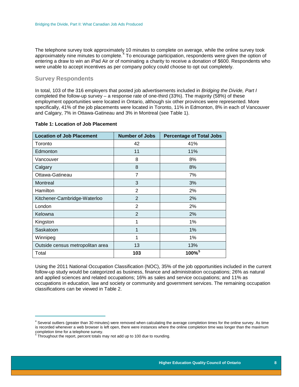The telephone survey took approximately 10 minutes to complete on average, while the online survey took approximately nine minutes to complete.<sup>[4](#page-8-2)</sup> To encourage participation, respondents were given the option of entering a draw to win an iPad Air or of nominating a charity to receive a donation of \$600. Respondents who were unable to accept incentives as per company policy could choose to opt out completely.

#### <span id="page-8-0"></span>**Survey Respondents**

In total, 103 of the 316 employers that posted job advertisements included in *Bridging the Divide, Part I* completed the follow-up survey – a response rate of one-third (33%). The majority (58%) of these employment opportunities were located in Ontario, although six other provinces were represented. More specifically, 41% of the job placements were located in Toronto, 11% in Edmonton, 8% in each of Vancouver and Calgary, 7% in Ottawa-Gatineau and 3% in Montreal (see Table 1).

#### <span id="page-8-1"></span>**Table 1: Location of Job Placement**

| <b>Location of Job Placement</b> | <b>Number of Jobs</b> | <b>Percentage of Total Jobs</b> |
|----------------------------------|-----------------------|---------------------------------|
| Toronto                          | 42                    | 41%                             |
| Edmonton                         | 11                    | 11%                             |
| Vancouver                        | 8                     | 8%                              |
| Calgary                          | 8                     | 8%                              |
| Ottawa-Gatineau                  | 7                     | 7%                              |
| Montreal                         | 3                     | 3%                              |
| Hamilton                         | 2                     | 2%                              |
| Kitchener-Cambridge-Waterloo     | 2                     | 2%                              |
| London                           | 2                     | 2%                              |
| Kelowna                          | $\overline{2}$        | 2%                              |
| Kingston                         | 1                     | 1%                              |
| Saskatoon                        | 1                     | 1%                              |
| Winnipeg                         | 1                     | 1%                              |
| Outside census metropolitan area | 13                    | 13%                             |
| Total                            | 103                   | 100% <sup>5</sup>               |

Using the 2011 National Occupation Classification (NOC), 35% of the job opportunities included in the current follow-up study would be categorized as business, finance and administration occupations; 26% as natural and applied sciences and related occupations; 16% as sales and service occupations; and 11% as occupations in education, law and society or community and government services. The remaining occupation classifications can be viewed in Table 2.

<span id="page-8-2"></span> $\frac{1}{2}$ <sup>4</sup> Several outliers (greater than 30 minutes) were removed when calculating the average completion times for the online survey. As time is recorded whenever a web browser is left open, there were instances where the online completion time was longer than the maximum completion time for a telephone survey.<br><sup>5</sup> Throughout the report, percent totals may not add up to 100 due to rounding.

<span id="page-8-3"></span>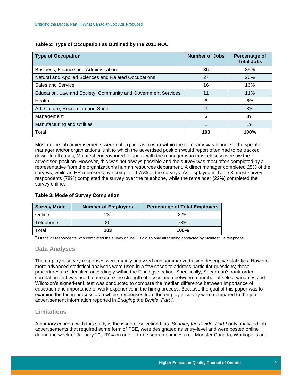<span id="page-9-2"></span>

| Table 2: Type of Occupation as Outlined by the 2011 NOC |  |  |
|---------------------------------------------------------|--|--|
|---------------------------------------------------------|--|--|

| <b>Type of Occupation</b>                                     | <b>Number of Jobs</b> | Percentage of<br><b>Total Jobs</b> |
|---------------------------------------------------------------|-----------------------|------------------------------------|
| Business, Finance and Administration                          | 36                    | 35%                                |
| Natural and Applied Sciences and Related Occupations          | 27                    | 26%                                |
| Sales and Service                                             | 16                    | 16%                                |
| Education, Law and Society, Community and Government Services | 11                    | 11%                                |
| Health                                                        | 6                     | 6%                                 |
| Art, Culture, Recreation and Sport                            | 3                     | 3%                                 |
| Management                                                    | 3                     | 3%                                 |
| <b>Manufacturing and Utilities</b>                            |                       | 1%                                 |
| Total                                                         | 103                   | 100%                               |

Most online job advertisements were not explicit as to who within the company was hiring, so the specific manager and/or organizational unit to which the advertised position would report often had to be tracked down. In all cases, Malatest endeavoured to speak with the manager who most closely oversaw the advertised position. However, this was not always possible and the survey was most often completed by a representative from the organization's human resources department. A direct manager completed 25% of the surveys, while an HR representative completed 75% of the surveys. As displayed in Table 3, most survey respondents (78%) completed the survey over the telephone, while the remainder (22%) completed the survey online.

#### <span id="page-9-3"></span>**Table 3: Mode of Survey Completion**

| <b>Survey Mode</b> | <b>Number of Employers</b> | <b>Percentage of Total Employers</b> |
|--------------------|----------------------------|--------------------------------------|
| Online             | 23 <sup>a</sup>            | 22%                                  |
| Telephone          | 80                         | 78%                                  |
| Total              | 103                        | 100%                                 |

<span id="page-9-0"></span><sup>a</sup> Of the 23 respondents who completed the survey online, 13 did so only after being contacted by Malatest via telephone.

#### **Data Analyses**

The employer survey responses were mainly analyzed and summarized using descriptive statistics. However, more advanced statistical analyses were used in a few cases to address particular questions; these procedures are identified accordingly within the Findings section. Specifically, Spearman's rank-order correlation test was used to measure the strength of association between a number of select variables and Wilcoxon's signed-rank test was conducted to compare the median difference between importance of education and importance of work experience in the hiring process. Because the goal of this paper was to examine the hiring process as a whole, responses from the employer survey were compared to the job advertisement information reported in *Bridging the Divide, Part I*.

#### <span id="page-9-1"></span>**Limitations**

A primary concern with this study is the issue of selection bias. *Bridging the Divide, Part I* only analyzed job advertisements that required some form of PSE, were designated as entry-level and were posted online during the week of January 20, 2014 on one of three search engines (i.e., Monster Canada, Workopolis and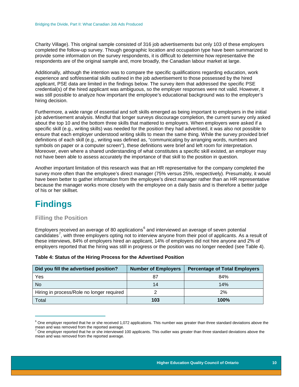Charity Village). This original sample consisted of 316 job advertisements but only 103 of these employers completed the follow-up survey. Though geographic location and occupation type have been summarized to provide some information on the survey respondents, it is difficult to determine how representative the respondents are of the original sample and, more broadly, the Canadian labour market at large.

Additionally, although the intention was to compare the specific qualifications regarding education, work experience and soft/essential skills outlined in the job advertisement to those possessed by the hired applicant, PSE data are limited in the findings below. The survey item that addressed the specific PSE credential(s) of the hired applicant was ambiguous, so the employer responses were not valid. However, it was still possible to analyze how important the employee's educational background was to the employer's hiring decision.

Furthermore, a wide range of essential and soft skills emerged as being important to employers in the initial job advertisement analysis. Mindful that longer surveys discourage completion, the current survey only asked about the top 10 and the bottom three skills that mattered to employers. When employers were asked if a specific skill (e.g., writing skills) was needed for the position they had advertised, it was also not possible to ensure that each employer understood writing skills to mean the same thing. While the survey provided brief definitions of each skill (e.g., writing was defined as, "communicating by arranging words, numbers and symbols on paper or a computer screen"), these definitions were brief and left room for interpretation. Moreover, even where a shared understanding of what constitutes a specific skill existed, an employer may not have been able to assess accurately the importance of that skill to the position in question.

Another important limitation of this research was that an HR representative for the company completed the survey more often than the employee's direct manager (75% versus 25%, respectively). Presumably, it would have been better to gather information from the employee's direct manager rather than an HR representative because the manager works more closely with the employee on a daily basis and is therefore a better judge of his or her skillset.

### <span id="page-10-0"></span>**Findings**

 $\overline{a}$ 

#### <span id="page-10-1"></span>**Filling the Position**

Employers received an average of 80 applications<sup>[6](#page-10-3)</sup> and interviewed an average of seven potential candidates<sup>[7](#page-10-4)</sup>, with three employers opting not to interview anyone from their pool of applicants. As a result of these interviews, 84% of employers hired an applicant, 14% of employers did not hire anyone and 2% of employers reported that the hiring was still in progress or the position was no longer needed (see Table 4).

| Did you fill the advertised position?     | <b>Number of Employers</b> | <b>Percentage of Total Employers</b> |
|-------------------------------------------|----------------------------|--------------------------------------|
| Yes                                       |                            | 84%                                  |
| <b>No</b>                                 | 14                         | 14%                                  |
| Hiring in process/Role no longer required |                            | 2%                                   |
| Total                                     | 103                        | 100%                                 |

#### <span id="page-10-2"></span>**Table 4: Status of the Hiring Process for the Advertised Position**

<span id="page-10-3"></span> $6$  One employer reported that he or she received 1,072 applications. This number was greater than three standard deviations above the mean and was removed from the reported average.<br><sup>7</sup> One employer reported that he or she interviewed 100 applicants. This outlier was greater than three standard deviations above the

<span id="page-10-4"></span>mean and was removed from the reported average.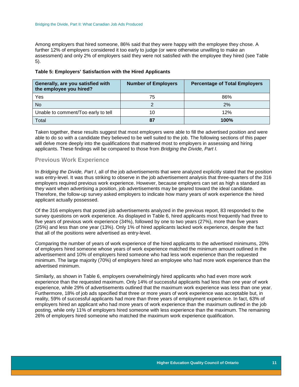Among employers that hired someone, 86% said that they were happy with the employee they chose. A further 12% of employers considered it too early to judge (or were otherwise unwilling to make an assessment) and only 2% of employers said they were not satisfied with the employee they hired (see Table 5).

| Generally, are you satisfied with<br>the employee you hired? | <b>Number of Employers</b> | <b>Percentage of Total Employers</b> |
|--------------------------------------------------------------|----------------------------|--------------------------------------|
| Yes                                                          | 75                         | 86%                                  |
| <b>No</b>                                                    |                            | 2%                                   |
| Unable to comment/Too early to tell                          |                            | 12%                                  |
| Total                                                        | 87                         | 100%                                 |

#### <span id="page-11-1"></span>**Table 5: Employers' Satisfaction with the Hired Applicants**

Taken together, these results suggest that most employers were able to fill the advertised position and were able to do so with a candidate they believed to be well suited to the job. The following sections of this paper will delve more deeply into the qualifications that mattered most to employers in assessing and hiring applicants. These findings will be compared to those from *Bridging the Divide, Part I.*

#### <span id="page-11-0"></span>**Previous Work Experience**

In *Bridging the Divide, Part I*, all of the job advertisements that were analyzed explicitly stated that the position was entry-level. It was thus striking to observe in the job advertisement analysis that three-quarters of the 316 employers required previous work experience. However, because employers can set as high a standard as they want when advertising a position, job advertisements may be geared toward the ideal candidate. Therefore, the follow-up survey asked employers to indicate how many years of work experience the hired applicant actually possessed.

Of the 316 employers that posted job advertisements analyzed in the previous report, 83 responded to the survey questions on work experience. As displayed in Table 6, hired applicants most frequently had three to five years of previous work experience (34%), followed by one to two years (27%), more than five years (25%) and less than one year (13%). Only 1% of hired applicants lacked work experience, despite the fact that all of the positions were advertised as entry-level.

Comparing the number of years of work experience of the hired applicants to the advertised minimums, 20% of employers hired someone whose years of work experience matched the minimum amount outlined in the advertisement and 10% of employers hired someone who had less work experience than the requested minimum. The large majority (70%) of employers hired an employee who had more work experience than the advertised minimum.

<span id="page-11-2"></span>Similarly, as shown in Table 6, employers overwhelmingly hired applicants who had even more work experience than the requested maximum. Only 14% of successful applicants had less than one year of work experience, while 29% of advertisements outlined that the maximum work experience was less than one year. Furthermore, 18% of job ads specified that three or more years of work experience was acceptable but, in reality, 59% of successful applicants had more than three years of employment experience. In fact, 63% of employers hired an applicant who had more years of work experience than the maximum outlined in the job posting, while only 11% of employers hired someone with less experience than the maximum. The remaining 26% of employers hired someone who matched the maximum work experience qualification.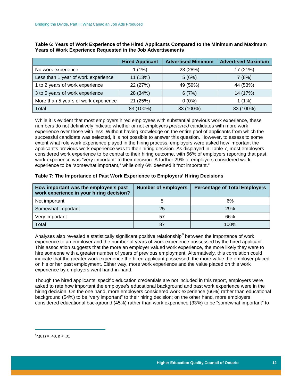|                                      | <b>Hired Applicant</b> | <b>Advertised Minimum</b> | <b>Advertised Maximum</b> |
|--------------------------------------|------------------------|---------------------------|---------------------------|
| No work experience                   | 1(1%)                  | 23 (28%)                  | 17 (21%)                  |
| Less than 1 year of work experience  | 11 (13%)               | 5(6%)                     | 7(8%)                     |
| 1 to 2 years of work experience      | 22 (27%)               | 49 (59%)                  | 44 (53%)                  |
| 3 to 5 years of work experience      | 28 (34%)               | 6(7%)                     | 14 (17%)                  |
| More than 5 years of work experience | 21 (25%)               | $0(0\%)$                  | $1(1\%)$                  |
| Total                                | 83 (100%)              | 83 (100%)                 | 83 (100%)                 |

**Table 6: Years of Work Experience of the Hired Applicants Compared to the Minimum and Maximum Years of Work Experience Requested in the Job Advertisements** 

While it is evident that most employers hired employees with substantial previous work experience, these numbers do not definitively indicate whether or not employers *preferred* candidates with more work experience over those with less. Without having knowledge on the entire pool of applicants from which the successful candidate was selected, it is not possible to answer this question. However, to assess to some extent what role work experience played in the hiring process, employers were asked how important the applicant's previous work experience was to their hiring decision. As displayed in Table 7, most employers considered work experience to be central to their hiring outcome, with 66% of employers reporting that past work experience was "very important" to their decision. A further 29% of employers considered work experience to be "somewhat important," while only 6% deemed it "not important."

#### <span id="page-12-0"></span>**Table 7: The Importance of Past Work Experience to Employers' Hiring Decisions**

| How important was the employee's past<br>work experience in your hiring decision? | <b>Number of Employers</b> | <b>Percentage of Total Employers</b> |
|-----------------------------------------------------------------------------------|----------------------------|--------------------------------------|
| Not important                                                                     | 5                          | 6%                                   |
| Somewhat important                                                                | 25                         | 29%                                  |
| Very important                                                                    | 57                         | 66%                                  |
| Total                                                                             | 87                         | 100%                                 |

Analyses also revealed a statistically significant positive relationship<sup>[8](#page-12-1)</sup> between the importance of work experience to an employer and the number of years of work experience possessed by the hired applicant. This association suggests that the more an employer valued work experience, the more likely they were to hire someone with a greater number of years of previous employment. Alternatively, this correlation could indicate that the greater work experience the hired applicant possessed, the more value the employer placed on his or her past employment. Either way, more work experience and the value placed on this work experience by employers went hand-in-hand.

Though the hired applicants' specific education credentials are not included in this report, employers were asked to rate how important the employee's educational background and past work experience were in the hiring decision. On the one hand, more employers considered work experience (66%) rather than educational background (54%) to be "very important" to their hiring decision; on the other hand, more employers considered educational background (45%) rather than work experience (33%) to be "somewhat important" to

<span id="page-12-1"></span> $\frac{1}{2}$  ${}^{8}r_{s}(81) = .48, p < .01$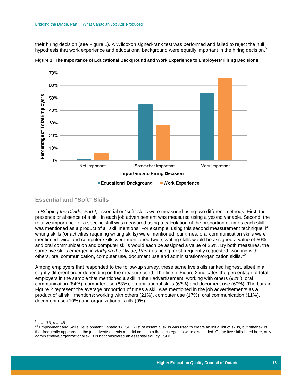their hiring decision (see Figure 1). A Wilcoxon signed-rank test was performed and failed to reject the null hypothesis that work experience and educational background were equally important in the hiring decision.<sup>[9](#page-13-2)</sup>



<span id="page-13-1"></span>**Figure 1: The Importance of Educational Background and Work Experience to Employers' Hiring Decisions**

#### <span id="page-13-0"></span>**Essential and "Soft" Skills**

In *Bridging the Divide, Part I*, essential or "soft" skills were measured using two different methods. First, the presence or absence of a skill in each job advertisement was measured using a yes/no variable. Second, the relative importance of a specific skill was measured using a calculation of the proportion of times each skill was mentioned as a product of all skill mentions. For example, using this second measurement technique, if writing skills (or activities requiring writing skills) were mentioned four times, oral communication skills were mentioned twice and computer skills were mentioned twice, writing skills would be assigned a value of 50% and oral communication and computer skills would each be assigned a value of 25%. By both measures, the same five skills emerged in *Bridging the Divide, Part I* as being most frequently requested: working with others, oral communication, computer use, document use and administration/organization skills.<sup>[10](#page-13-3)</sup>

Among employers that responded to the follow-up survey, these same five skills ranked highest, albeit in a slightly different order depending on the measure used. The line in Figure 2 indicates the percentage of total employers in the sample that mentioned a skill in their advertisement: working with others (92%), oral communication (84%), computer use (83%), organizational skills (63%) and document use (60%). The bars in Figure 2 represent the average proportion of times a skill was mentioned in the job advertisements as a product of all skill mentions: working with others (21%), computer use (17%), oral communication (11%), document use (10%) and organizational skills (9%).

 $8^9$  z = -.76,  $p = .45$ 

<span id="page-13-3"></span><span id="page-13-2"></span><sup>&</sup>lt;sup>10</sup> Employment and Skills Development Canada's (ESDC) list of essential skills was used to create an initial list of skills, but other skills that frequently appeared in the job advertisements and did not fit into these categories were also coded. Of the five skills listed here, only administrative/organizational skills is not considered an essential skill by ESDC.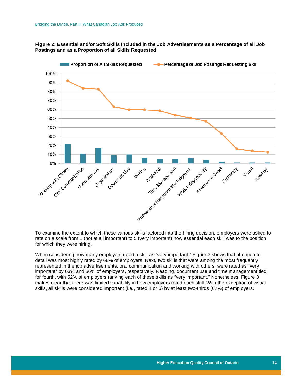#### <span id="page-14-0"></span>**Figure 2: Essential and/or Soft Skills Included in the Job Advertisements as a Percentage of all Job Postings and as a Proportion of all Skills Requested**



To examine the extent to which these various skills factored into the hiring decision, employers were asked to rate on a scale from 1 (not at all important) to 5 (very important) how essential each skill was to the position for which they were hiring.

<span id="page-14-1"></span>When considering how many employers rated a skill as "very important," Figure 3 shows that attention to detail was most highly rated by 68% of employers. Next, two skills that were among the most frequently represented in the job advertisements, oral communication and working with others, were rated as "very important" by 63% and 56% of employers, respectively. Reading, document use and time management tied for fourth, with 52% of employers ranking each of these skills as "very important." Nonetheless, Figure 3 makes clear that there was limited variability in how employers rated each skill. With the exception of visual skills, all skills were considered important (i.e., rated 4 or 5) by at least two-thirds (67%) of employers.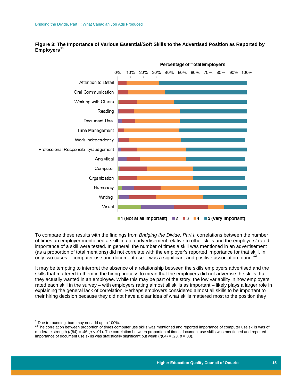

**Figure 3: The Importance of Various Essential/Soft Skills to the Advertised Position as Reported by**  Employers<sup>1</sup>

To compare these results with the findings from *Bridging the Divide, Part I,* correlations between the number of times an employer mentioned a skill in a job advertisement relative to other skills and the employers' rated importance of a skill were tested. In general, the number of times a skill was mentioned in an advertisement (as a proportion of total mentions) did not correlate with the employer's reported importance for that skill. In only two cases – computer use and document use – was a significant and positive association found.<sup>[12](#page-15-1)</sup>

It may be tempting to interpret the absence of a relationship between the skills employers advertised and the skills that mattered to them in the hiring process to mean that the employers did not advertise the skills that they actually wanted in an employee. While this may be part of the story, the low variability in how employers rated each skill in the survey – with employers rating almost all skills as important – likely plays a larger role in explaining the general lack of correlation. Perhaps employers considered almost all skills to be important to their hiring decision because they did not have a clear idea of what skills mattered most to the position they

 $\frac{1}{1}$ 

<span id="page-15-1"></span><span id="page-15-0"></span><sup>&</sup>lt;sup>11</sup>Due to rounding, bars may not add up to 100%.<br><sup>12</sup>The correlation between proportion of times computer use skills was mentioned and reported importance of computer use skills was of moderate strength (*r*(84) = .46, *p* < .01). The correlation between proportion of times document use skills was mentioned and reported importance of document use skills was statistically significant but weak  $(r(84) = .23, p = .03)$ .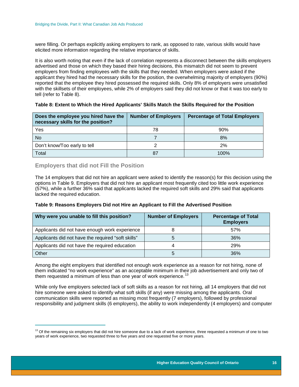were filling. Or perhaps explicitly asking employers to rank, as opposed to rate, various skills would have elicited more information regarding the relative importance of skills.

It is also worth noting that even if the lack of correlation represents a disconnect between the skills employers advertised and those on which they based their hiring decisions, this mismatch did not seem to prevent employers from finding employees with the skills that they needed. When employers were asked if the applicant they hired had the necessary skills for the position, the overwhelming majority of employers (90%) reported that the employee they hired possessed the required skills. Only 8% of employers were unsatisfied with the skillsets of their employees, while 2% of employers said they did not know or that it was too early to tell (refer to Table 8).

<span id="page-16-1"></span>

| Does the employee you hired have the<br>necessary skills for the position? | <b>Number of Employers</b> | <b>Percentage of Total Employers</b> |
|----------------------------------------------------------------------------|----------------------------|--------------------------------------|
| Yes                                                                        | 78                         | 90%                                  |
| <b>No</b>                                                                  |                            | 8%                                   |
| Don't know/Too early to tell                                               |                            | 2%                                   |
| Total                                                                      |                            | 100%                                 |

#### <span id="page-16-0"></span>**Employers that did not Fill the Position**

The 14 employers that did not hire an applicant were asked to identify the reason(s) for this decision using the options in Table 9. Employers that did not hire an applicant most frequently cited too little work experience (57%), while a further 36% said that applicants lacked the required soft skills and 29% said that applicants lacked the required education.

#### <span id="page-16-2"></span>**Table 9: Reasons Employers Did not Hire an Applicant to Fill the Advertised Position**

| Why were you unable to fill this position?         | <b>Number of Employers</b> | <b>Percentage of Total</b><br><b>Employers</b> |
|----------------------------------------------------|----------------------------|------------------------------------------------|
| Applicants did not have enough work experience     |                            | 57%                                            |
| Applicants did not have the required "soft skills" | b                          | 36%                                            |
| Applicants did not have the required education     | 4                          | <b>29%</b>                                     |
| Other                                              | b                          | 36%                                            |

Among the eight employers that identified not enough work experience as a reason for not hiring, none of them indicated "no work experience" as an acceptable minimum in their job advertisement and only two of them requested a minimum of less than one year of work experience.<sup>[13](#page-16-3)</sup>

While only five employers selected lack of soft skills as a reason for not hiring, all 14 employers that did not hire someone were asked to identify what soft skills (if any) were missing among the applicants. Oral communication skills were reported as missing most frequently (7 employers), followed by professional responsibility and judgment skills (6 employers), the ability to work independently (4 employers) and computer

<span id="page-16-3"></span> $\overline{\phantom{a}}$  $13$  Of the remaining six employers that did not hire someone due to a lack of work experience, three requested a minimum of one to two years of work experience, two requested three to five years and one requested five or more years.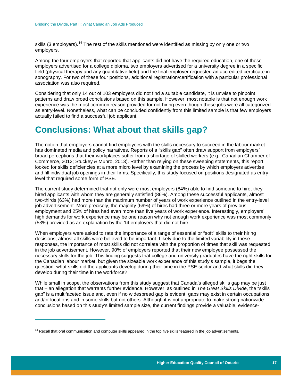skills (3 employers).<sup>[14](#page-17-1)</sup> The rest of the skills mentioned were identified as missing by only one or two employers.

Among the four employers that reported that applicants did not have the required education, one of these employers advertised for a college diploma, two employers advertised for a university degree in a specific field (physical therapy and any quantitative field) and the final employer requested an accredited certificate in sonography. For two of these four positions, additional registration/certification with a particular professional association was also required.

Considering that only 14 out of 103 employers did not find a suitable candidate, it is unwise to pinpoint patterns and draw broad conclusions based on this sample. However, most notable is that not enough work experience was the most common reason provided for not hiring even though these jobs were all categorized as entry-level. Nonetheless, what can be concluded confidently from this limited sample is that few employers actually failed to find a successful job applicant.

### <span id="page-17-0"></span>**Conclusions: What about that skills gap?**

The notion that employers cannot find employees with the skills necessary to succeed in the labour market has dominated media and policy narratives. Reports of a "skills gap" often draw support from employers' broad perceptions that their workplaces suffer from a shortage of skilled workers (e.g., Canadian Chamber of Commerce, 2012; Stuckey & Munro, 2013). Rather than relying on these sweeping statements, this report looked for skills deficiencies at a more micro level by examining the process by which employers advertise and fill individual job openings in their firms. Specifically, this study focused on positions designated as entrylevel that required some form of PSE.

The current study determined that not only were most employers (84%) able to find someone to hire, they hired applicants with whom they are generally satisfied (86%). Among these successful applicants, almost two-thirds (63%) had more than the maximum number of years of work experience outlined in the entry-level job advertisement. More precisely, the majority (59%) of hires had three or more years of previous employment and 25% of hires had even more than five years of work experience. Interestingly, employers' high demands for work experience may be one reason why not enough work experience was most commonly (53%) provided as an explanation by the 14 employers that did not hire.

When employers were asked to rate the importance of a range of essential or "soft" skills to their hiring decisions, almost all skills were believed to be important. Likely due to the limited variability in these responses, the importance of most skills did not correlate with the proportion of times that skill was requested in the job advertisement. However, 90% of employers reported that their new employee possessed the necessary skills for the job. This finding suggests that college and university graduates have the right skills for the Canadian labour market, but given the sizeable work experience of this study's sample, it begs the question: what skills did the applicants develop during their time in the PSE sector and what skills did they develop during their time in the workforce?

While small in scope, the observations from this study suggest that Canada's alleged skills gap may be just that – an allegation that warrants further evidence. However, as outlined in *The Great Skills Divide*, the "skills gap" is a multifaceted issue and, even if no widespread gap is evident, gaps may exist in certain occupations and/or locations and in some skills but not others. Although it is not appropriate to make strong nationwide conclusions based on this study's limited sample size, the current findings provide a valuable, evidence-

 $\overline{a}$ 

<span id="page-17-1"></span><sup>&</sup>lt;sup>14</sup> Recall that oral communication and computer skills appeared in the top five skills featured in the job advertisements.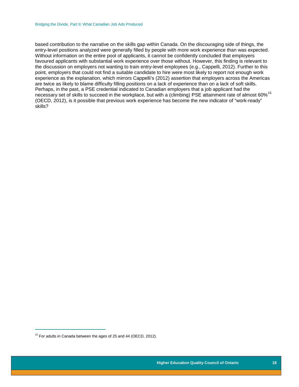based contribution to the narrative on the skills gap within Canada. On the discouraging side of things, the entry-level positions analyzed were generally filled by people with more work experience than was expected. Without information on the entire pool of applicants, it cannot be confidently concluded that employers favoured applicants with substantial work experience over those without. However, this finding is relevant to the discussion on employers not wanting to train entry-level employees (e.g., Cappelli, 2012). Further to this point, employers that could not find a suitable candidate to hire were most likely to report not enough work experience as the explanation, which mirrors Cappelli's (2012) assertion that employers across the Americas are twice as likely to blame difficulty filling positions on a lack of experience than on a lack of soft skills. Perhaps, in the past, a PSE credential indicated to Canadian employers that a job applicant had the necessary set of skills to succeed in the workplace, but with a (climbing) PSE attainment rate of almost 60%<sup>[15](#page-18-0)</sup> (OECD, 2012), is it possible that previous work experience has become the new indicator of "work-ready" skills?

<span id="page-18-0"></span> $\frac{1}{1}$  $15$  For adults in Canada between the ages of 25 and 44 (OECD, 2012).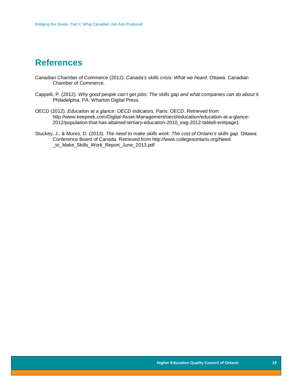### <span id="page-19-0"></span>**References**

- Canadian Chamber of Commerce (2012). *Canada's skills crisis: What we heard.* Ottawa: Canadian Chamber of Commerce.
- Cappelli, P. (2012). *Why good people can't get jobs: The skills gap and what companies can do about it.*  Philadelphia, PA: Wharton Digital Press.
- OECD (2012). *Education at a glance: OECD indicators*. Paris: OECD. Retrieved from http://www.keepeek.com/Digital-Asset-Management/oecd/education/education-at-a-glance-2012/population-that-has-attained-tertiary-education-2010\_eag-2012-table8-en#page1
- Stuckey, J., & Munro, D. (2013). *The need to make skills work: The cost of Ontario's skills gap.* Ottawa: Conference Board of Canada. Retrieved from http://www.collegesontario.org/Need \_to\_Make\_Skills\_Work\_Report\_June\_2013.pdf